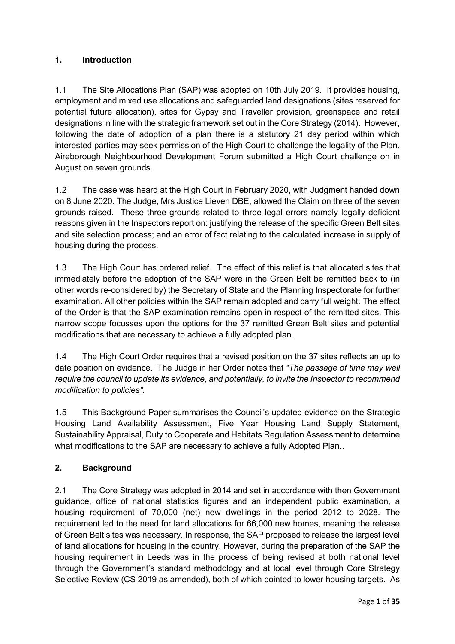# **1. Introduction**

1.1 The Site Allocations Plan (SAP) was adopted on 10th July 2019. It provides housing, employment and mixed use allocations and safeguarded land designations (sites reserved for potential future allocation), sites for Gypsy and Traveller provision, greenspace and retail designations in line with the strategic framework set out in the Core Strategy (2014). However, following the date of adoption of a plan there is a statutory 21 day period within which interested parties may seek permission of the High Court to challenge the legality of the Plan. Aireborough Neighbourhood Development Forum submitted a High Court challenge on in August on seven grounds.

1.2 The case was heard at the High Court in February 2020, with Judgment handed down on 8 June 2020. The Judge, Mrs Justice Lieven DBE, allowed the Claim on three of the seven grounds raised. These three grounds related to three legal errors namely legally deficient reasons given in the Inspectors report on: justifying the release of the specific Green Belt sites and site selection process; and an error of fact relating to the calculated increase in supply of housing during the process.

1.3 The High Court has ordered relief. The effect of this relief is that allocated sites that immediately before the adoption of the SAP were in the Green Belt be remitted back to (in other words re-considered by) the Secretary of State and the Planning Inspectorate for further examination. All other policies within the SAP remain adopted and carry full weight. The effect of the Order is that the SAP examination remains open in respect of the remitted sites. This narrow scope focusses upon the options for the 37 remitted Green Belt sites and potential modifications that are necessary to achieve a fully adopted plan.

1.4 The High Court Order requires that a revised position on the 37 sites reflects an up to date position on evidence. The Judge in her Order notes that *"The passage of time may well require the council to update its evidence, and potentially, to invite the Inspector to recommend modification to policies"*.

1.5 This Background Paper summarises the Council's updated evidence on the Strategic Housing Land Availability Assessment, Five Year Housing Land Supply Statement, Sustainability Appraisal, Duty to Cooperate and Habitats Regulation Assessment to determine what modifications to the SAP are necessary to achieve a fully Adopted Plan..

# **2. Background**

2.1 The Core Strategy was adopted in 2014 and set in accordance with then Government guidance, office of national statistics figures and an independent public examination, a housing requirement of 70,000 (net) new dwellings in the period 2012 to 2028. The requirement led to the need for land allocations for 66,000 new homes, meaning the release of Green Belt sites was necessary. In response, the SAP proposed to release the largest level of land allocations for housing in the country. However, during the preparation of the SAP the housing requirement in Leeds was in the process of being revised at both national level through the Government's standard methodology and at local level through Core Strategy Selective Review (CS 2019 as amended), both of which pointed to lower housing targets. As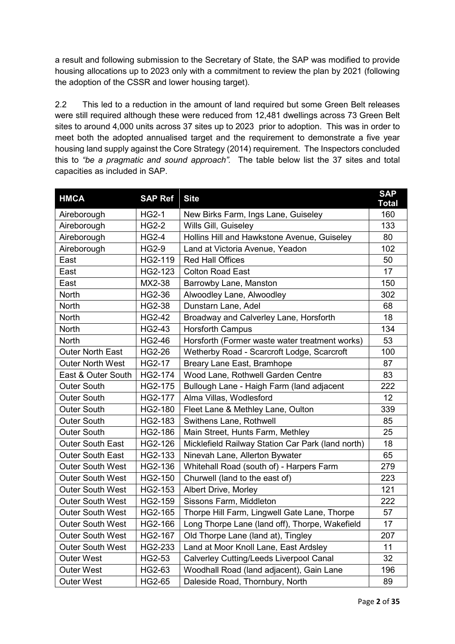a result and following submission to the Secretary of State, the SAP was modified to provide housing allocations up to 2023 only with a commitment to review the plan by 2021 (following the adoption of the CSSR and lower housing target).

2.2 This led to a reduction in the amount of land required but some Green Belt releases were still required although these were reduced from 12,481 dwellings across 73 Green Belt sites to around 4,000 units across 37 sites up to 2023 prior to adoption. This was in order to meet both the adopted annualised target and the requirement to demonstrate a five year housing land supply against the Core Strategy (2014) requirement. The Inspectors concluded this to *"be a pragmatic and sound approach".* The table below list the 37 sites and total capacities as included in SAP.

| <b>HMCA</b>             | <b>SAP Ref</b> | <b>Site</b>                                       | <b>SAP</b><br><b>Total</b> |
|-------------------------|----------------|---------------------------------------------------|----------------------------|
| Aireborough             | <b>HG2-1</b>   | New Birks Farm, Ings Lane, Guiseley               | 160                        |
| Aireborough             | <b>HG2-2</b>   | Wills Gill, Guiseley                              | 133                        |
| Aireborough             | <b>HG2-4</b>   | Hollins Hill and Hawkstone Avenue, Guiseley       | 80                         |
| Aireborough             | <b>HG2-9</b>   | Land at Victoria Avenue, Yeadon                   | 102                        |
| East                    | HG2-119        | <b>Red Hall Offices</b>                           | 50                         |
| East                    | HG2-123        | <b>Colton Road East</b>                           | 17                         |
| East                    | MX2-38         | Barrowby Lane, Manston                            | 150                        |
| North                   | HG2-36         | Alwoodley Lane, Alwoodley                         | 302                        |
| North                   | <b>HG2-38</b>  | Dunstarn Lane, Adel                               | 68                         |
| <b>North</b>            | <b>HG2-42</b>  | Broadway and Calverley Lane, Horsforth            | 18                         |
| North                   | HG2-43         | <b>Horsforth Campus</b>                           | 134                        |
| <b>North</b>            | <b>HG2-46</b>  | Horsforth (Former waste water treatment works)    | 53                         |
| <b>Outer North East</b> | <b>HG2-26</b>  | Wetherby Road - Scarcroft Lodge, Scarcroft        | 100                        |
| <b>Outer North West</b> | <b>HG2-17</b>  | Breary Lane East, Bramhope                        | 87                         |
| East & Outer South      | HG2-174        | Wood Lane, Rothwell Garden Centre                 | 83                         |
| <b>Outer South</b>      | HG2-175        | Bullough Lane - Haigh Farm (land adjacent         | 222                        |
| <b>Outer South</b>      | HG2-177        | Alma Villas, Wodlesford                           | 12                         |
| Outer South             | HG2-180        | Fleet Lane & Methley Lane, Oulton                 | 339                        |
| <b>Outer South</b>      | HG2-183        | Swithens Lane, Rothwell                           | 85                         |
| <b>Outer South</b>      | HG2-186        | Main Street, Hunts Farm, Methley                  | 25                         |
| <b>Outer South East</b> | HG2-126        | Micklefield Railway Station Car Park (land north) | 18                         |
| <b>Outer South East</b> | HG2-133        | Ninevah Lane, Allerton Bywater                    | 65                         |
| <b>Outer South West</b> | HG2-136        | Whitehall Road (south of) - Harpers Farm          | 279                        |
| <b>Outer South West</b> | HG2-150        | Churwell (land to the east of)                    | 223                        |
| <b>Outer South West</b> | HG2-153        | Albert Drive, Morley                              | 121                        |
| <b>Outer South West</b> | HG2-159        | Sissons Farm, Middleton                           | 222                        |
| <b>Outer South West</b> | HG2-165        | Thorpe Hill Farm, Lingwell Gate Lane, Thorpe      | 57                         |
| <b>Outer South West</b> | HG2-166        | Long Thorpe Lane (land off), Thorpe, Wakefield    | 17                         |
| <b>Outer South West</b> | HG2-167        | Old Thorpe Lane (land at), Tingley                | 207                        |
| <b>Outer South West</b> | HG2-233        | Land at Moor Knoll Lane, East Ardsley             | 11                         |
| <b>Outer West</b>       | HG2-53         | Calverley Cutting/Leeds Liverpool Canal           | 32                         |
| <b>Outer West</b>       | HG2-63         | Woodhall Road (land adjacent), Gain Lane          | 196                        |
| <b>Outer West</b>       | <b>HG2-65</b>  | Daleside Road, Thornbury, North                   | 89                         |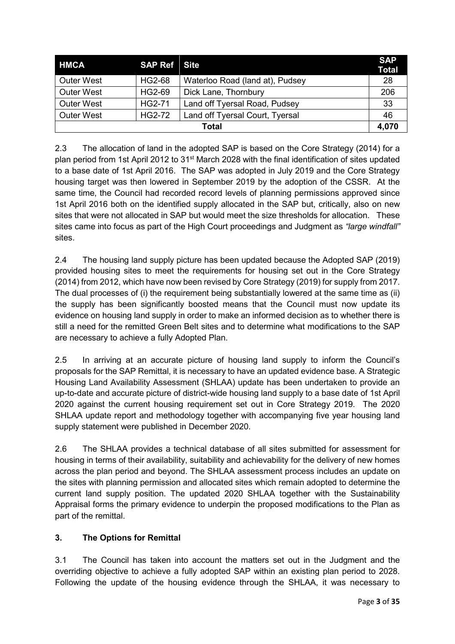| <b>HMCA</b>       | <b>SAP Ref</b> Site |                                 | <b>SAP</b><br><b>Total</b> |
|-------------------|---------------------|---------------------------------|----------------------------|
| <b>Outer West</b> | HG2-68              | Waterloo Road (land at), Pudsey | 28                         |
| <b>Outer West</b> | HG2-69              | Dick Lane, Thornbury            | 206                        |
| <b>Outer West</b> | HG2-71              | Land off Tyersal Road, Pudsey   | 33                         |
| <b>Outer West</b> | <b>HG2-72</b>       | Land off Tyersal Court, Tyersal | 46                         |
| <b>Total</b>      |                     |                                 |                            |

2.3 The allocation of land in the adopted SAP is based on the Core Strategy (2014) for a plan period from 1st April 2012 to 31<sup>st</sup> March 2028 with the final identification of sites updated to a base date of 1st April 2016. The SAP was adopted in July 2019 and the Core Strategy housing target was then lowered in September 2019 by the adoption of the CSSR. At the same time, the Council had recorded record levels of planning permissions approved since 1st April 2016 both on the identified supply allocated in the SAP but, critically, also on new sites that were not allocated in SAP but would meet the size thresholds for allocation. These sites came into focus as part of the High Court proceedings and Judgment as *"large windfall"* sites.

2.4 The housing land supply picture has been updated because the Adopted SAP (2019) provided housing sites to meet the requirements for housing set out in the Core Strategy (2014) from 2012, which have now been revised by Core Strategy (2019) for supply from 2017. The dual processes of (i) the requirement being substantially lowered at the same time as (ii) the supply has been significantly boosted means that the Council must now update its evidence on housing land supply in order to make an informed decision as to whether there is still a need for the remitted Green Belt sites and to determine what modifications to the SAP are necessary to achieve a fully Adopted Plan.

2.5 In arriving at an accurate picture of housing land supply to inform the Council's proposals for the SAP Remittal, it is necessary to have an updated evidence base. A Strategic Housing Land Availability Assessment (SHLAA) update has been undertaken to provide an up-to-date and accurate picture of district-wide housing land supply to a base date of 1st April 2020 against the current housing requirement set out in Core Strategy 2019. The 2020 SHLAA update report and methodology together with accompanying five year housing land supply statement were published in December 2020.

2.6 The SHLAA provides a technical database of all sites submitted for assessment for housing in terms of their availability, suitability and achievability for the delivery of new homes across the plan period and beyond. The SHLAA assessment process includes an update on the sites with planning permission and allocated sites which remain adopted to determine the current land supply position. The updated 2020 SHLAA together with the Sustainability Appraisal forms the primary evidence to underpin the proposed modifications to the Plan as part of the remittal.

# **3. The Options for Remittal**

3.1 The Council has taken into account the matters set out in the Judgment and the overriding objective to achieve a fully adopted SAP within an existing plan period to 2028. Following the update of the housing evidence through the SHLAA, it was necessary to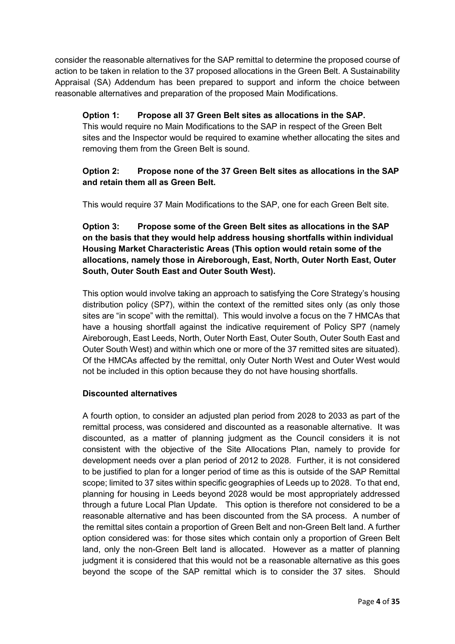consider the reasonable alternatives for the SAP remittal to determine the proposed course of action to be taken in relation to the 37 proposed allocations in the Green Belt. A Sustainability Appraisal (SA) Addendum has been prepared to support and inform the choice between reasonable alternatives and preparation of the proposed Main Modifications.

### **Option 1: Propose all 37 Green Belt sites as allocations in the SAP.**

This would require no Main Modifications to the SAP in respect of the Green Belt sites and the Inspector would be required to examine whether allocating the sites and removing them from the Green Belt is sound.

## **Option 2: Propose none of the 37 Green Belt sites as allocations in the SAP and retain them all as Green Belt.**

This would require 37 Main Modifications to the SAP, one for each Green Belt site.

## **Option 3: Propose some of the Green Belt sites as allocations in the SAP on the basis that they would help address housing shortfalls within individual Housing Market Characteristic Areas (This option would retain some of the allocations, namely those in Aireborough, East, North, Outer North East, Outer South, Outer South East and Outer South West).**

This option would involve taking an approach to satisfying the Core Strategy's housing distribution policy (SP7), within the context of the remitted sites only (as only those sites are "in scope" with the remittal). This would involve a focus on the 7 HMCAs that have a housing shortfall against the indicative requirement of Policy SP7 (namely Aireborough, East Leeds, North, Outer North East, Outer South, Outer South East and Outer South West) and within which one or more of the 37 remitted sites are situated). Of the HMCAs affected by the remittal, only Outer North West and Outer West would not be included in this option because they do not have housing shortfalls.

#### **Discounted alternatives**

A fourth option, to consider an adjusted plan period from 2028 to 2033 as part of the remittal process, was considered and discounted as a reasonable alternative. It was discounted, as a matter of planning judgment as the Council considers it is not consistent with the objective of the Site Allocations Plan, namely to provide for development needs over a plan period of 2012 to 2028. Further, it is not considered to be justified to plan for a longer period of time as this is outside of the SAP Remittal scope; limited to 37 sites within specific geographies of Leeds up to 2028. To that end, planning for housing in Leeds beyond 2028 would be most appropriately addressed through a future Local Plan Update. This option is therefore not considered to be a reasonable alternative and has been discounted from the SA process. A number of the remittal sites contain a proportion of Green Belt and non-Green Belt land. A further option considered was: for those sites which contain only a proportion of Green Belt land, only the non-Green Belt land is allocated. However as a matter of planning judgment it is considered that this would not be a reasonable alternative as this goes beyond the scope of the SAP remittal which is to consider the 37 sites. Should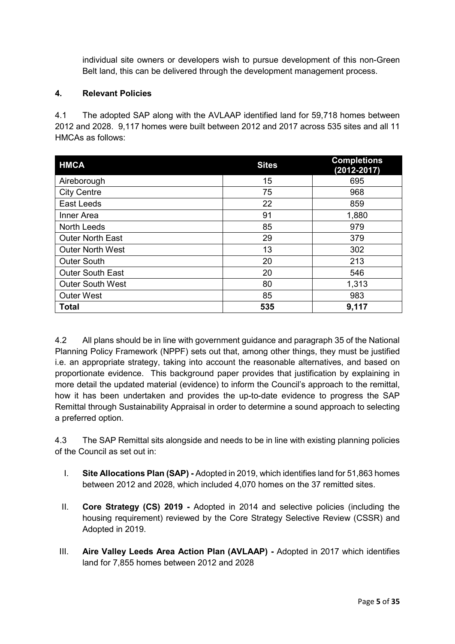individual site owners or developers wish to pursue development of this non-Green Belt land, this can be delivered through the development management process.

#### **4. Relevant Policies**

4.1 The adopted SAP along with the AVLAAP identified land for 59,718 homes between 2012 and 2028. 9,117 homes were built between 2012 and 2017 across 535 sites and all 11 HMCAs as follows:

| <b>HMCA</b>             | <b>Sites</b> | <b>Completions</b><br>(2012-2017) |
|-------------------------|--------------|-----------------------------------|
| Aireborough             | 15           | 695                               |
| <b>City Centre</b>      | 75           | 968                               |
| East Leeds              | 22           | 859                               |
| Inner Area              | 91           | 1,880                             |
| <b>North Leeds</b>      | 85           | 979                               |
| <b>Outer North East</b> | 29           | 379                               |
| <b>Outer North West</b> | 13           | 302                               |
| <b>Outer South</b>      | 20           | 213                               |
| <b>Outer South East</b> | 20           | 546                               |
| <b>Outer South West</b> | 80           | 1,313                             |
| <b>Outer West</b>       | 85           | 983                               |
| <b>Total</b>            | 535          | 9,117                             |

4.2 All plans should be in line with government guidance and paragraph 35 of the National Planning Policy Framework (NPPF) sets out that, among other things, they must be justified i.e. an appropriate strategy, taking into account the reasonable alternatives, and based on proportionate evidence. This background paper provides that justification by explaining in more detail the updated material (evidence) to inform the Council's approach to the remittal, how it has been undertaken and provides the up-to-date evidence to progress the SAP Remittal through Sustainability Appraisal in order to determine a sound approach to selecting a preferred option.

4.3 The SAP Remittal sits alongside and needs to be in line with existing planning policies of the Council as set out in:

- I. **Site Allocations Plan (SAP) -** Adopted in 2019, which identifies land for 51,863 homes between 2012 and 2028, which included 4,070 homes on the 37 remitted sites.
- II. **Core Strategy (CS) 2019 -** Adopted in 2014 and selective policies (including the housing requirement) reviewed by the Core Strategy Selective Review (CSSR) and Adopted in 2019.
- III. **Aire Valley Leeds Area Action Plan (AVLAAP) -** Adopted in 2017 which identifies land for 7,855 homes between 2012 and 2028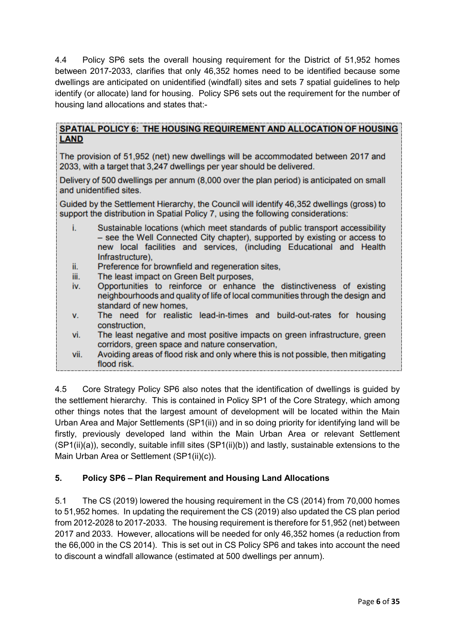4.4 Policy SP6 sets the overall housing requirement for the District of 51,952 homes between 2017-2033, clarifies that only 46,352 homes need to be identified because some dwellings are anticipated on unidentified (windfall) sites and sets 7 spatial guidelines to help identify (or allocate) land for housing. Policy SP6 sets out the requirement for the number of housing land allocations and states that:-

### SPATIAL POLICY 6: THE HOUSING REQUIREMENT AND ALLOCATION OF HOUSING **LAND**

The provision of 51,952 (net) new dwellings will be accommodated between 2017 and 2033, with a target that 3,247 dwellings per year should be delivered.

Delivery of 500 dwellings per annum (8,000 over the plan period) is anticipated on small and unidentified sites.

Guided by the Settlement Hierarchy, the Council will identify 46,352 dwellings (gross) to support the distribution in Spatial Policy 7, using the following considerations:

- i. Sustainable locations (which meet standards of public transport accessibility - see the Well Connected City chapter), supported by existing or access to new local facilities and services, (including Educational and Health Infrastructure).
- ii. Preference for brownfield and regeneration sites.
- The least impact on Green Belt purposes, iii.
- Opportunities to reinforce or enhance the distinctiveness of existing iv. neighbourhoods and quality of life of local communities through the design and standard of new homes.
- v. The need for realistic lead-in-times and build-out-rates for housing construction.
- The least negative and most positive impacts on green infrastructure, green vi. corridors, green space and nature conservation,
- vii. Avoiding areas of flood risk and only where this is not possible, then mitigating flood risk.

4.5 Core Strategy Policy SP6 also notes that the identification of dwellings is guided by the settlement hierarchy. This is contained in Policy SP1 of the Core Strategy, which among other things notes that the largest amount of development will be located within the Main Urban Area and Major Settlements (SP1(ii)) and in so doing priority for identifying land will be firstly, previously developed land within the Main Urban Area or relevant Settlement (SP1(ii)(a)), secondly, suitable infill sites (SP1(ii)(b)) and lastly, sustainable extensions to the Main Urban Area or Settlement (SP1(ii)(c)).

### **5. Policy SP6 – Plan Requirement and Housing Land Allocations**

5.1 The CS (2019) lowered the housing requirement in the CS (2014) from 70,000 homes to 51,952 homes. In updating the requirement the CS (2019) also updated the CS plan period from 2012-2028 to 2017-2033. The housing requirement is therefore for 51,952 (net) between 2017 and 2033. However, allocations will be needed for only 46,352 homes (a reduction from the 66,000 in the CS 2014). This is set out in CS Policy SP6 and takes into account the need to discount a windfall allowance (estimated at 500 dwellings per annum).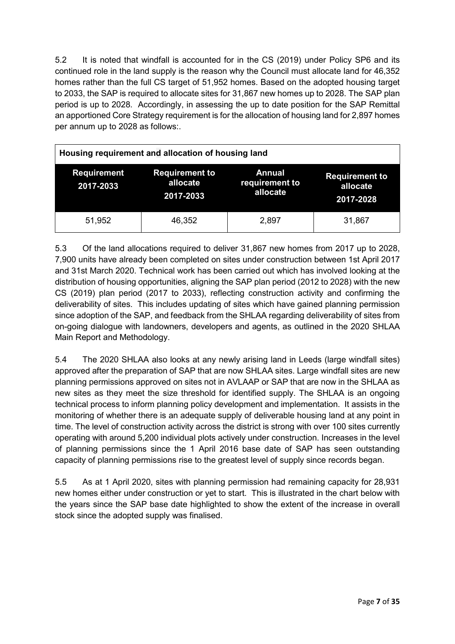5.2 It is noted that windfall is accounted for in the CS (2019) under Policy SP6 and its continued role in the land supply is the reason why the Council must allocate land for 46,352 homes rather than the full CS target of 51,952 homes. Based on the adopted housing target to 2033, the SAP is required to allocate sites for 31,867 new homes up to 2028. The SAP plan period is up to 2028. Accordingly, in assessing the up to date position for the SAP Remittal an apportioned Core Strategy requirement is for the allocation of housing land for 2,897 homes per annum up to 2028 as follows:.

| Housing requirement and allocation of housing land |                                                |                                             |                                                |  |  |
|----------------------------------------------------|------------------------------------------------|---------------------------------------------|------------------------------------------------|--|--|
| <b>Requirement</b><br>2017-2033                    | <b>Requirement to</b><br>allocate<br>2017-2033 | <b>Annual</b><br>requirement to<br>allocate | <b>Requirement to</b><br>allocate<br>2017-2028 |  |  |
| 51,952                                             | 46,352                                         | 2,897                                       | 31,867                                         |  |  |

5.3 Of the land allocations required to deliver 31,867 new homes from 2017 up to 2028, 7,900 units have already been completed on sites under construction between 1st April 2017 and 31st March 2020. Technical work has been carried out which has involved looking at the distribution of housing opportunities, aligning the SAP plan period (2012 to 2028) with the new CS (2019) plan period (2017 to 2033), reflecting construction activity and confirming the deliverability of sites. This includes updating of sites which have gained planning permission since adoption of the SAP, and feedback from the SHLAA regarding deliverability of sites from on-going dialogue with landowners, developers and agents, as outlined in the 2020 SHLAA Main Report and Methodology.

5.4 The 2020 SHLAA also looks at any newly arising land in Leeds (large windfall sites) approved after the preparation of SAP that are now SHLAA sites. Large windfall sites are new planning permissions approved on sites not in AVLAAP or SAP that are now in the SHLAA as new sites as they meet the size threshold for identified supply. The SHLAA is an ongoing technical process to inform planning policy development and implementation. It assists in the monitoring of whether there is an adequate supply of deliverable housing land at any point in time. The level of construction activity across the district is strong with over 100 sites currently operating with around 5,200 individual plots actively under construction. Increases in the level of planning permissions since the 1 April 2016 base date of SAP has seen outstanding capacity of planning permissions rise to the greatest level of supply since records began.

5.5 As at 1 April 2020, sites with planning permission had remaining capacity for 28,931 new homes either under construction or yet to start. This is illustrated in the chart below with the years since the SAP base date highlighted to show the extent of the increase in overall stock since the adopted supply was finalised.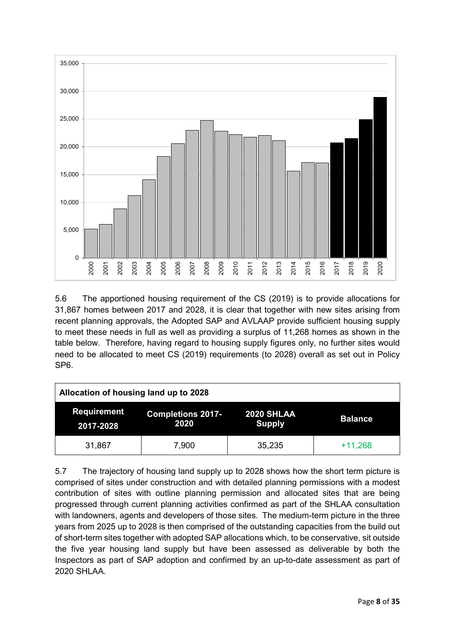

5.6 The apportioned housing requirement of the CS (2019) is to provide allocations for 31,867 homes between 2017 and 2028, it is clear that together with new sites arising from recent planning approvals, the Adopted SAP and AVLAAP provide sufficient housing supply to meet these needs in full as well as providing a surplus of 11,268 homes as shown in the table below. Therefore, having regard to housing supply figures only, no further sites would need to be allocated to meet CS (2019) requirements (to 2028) overall as set out in Policy SP6.

| Allocation of housing land up to 2028 |                                  |                                    |                |  |  |
|---------------------------------------|----------------------------------|------------------------------------|----------------|--|--|
| <b>Requirement</b><br>2017-2028       | <b>Completions 2017-</b><br>2020 | <b>2020 SHLAA</b><br><b>Supply</b> | <b>Balance</b> |  |  |
| 31,867                                | 7,900                            | 35,235                             | $+11,268$      |  |  |

5.7 The trajectory of housing land supply up to 2028 shows how the short term picture is comprised of sites under construction and with detailed planning permissions with a modest contribution of sites with outline planning permission and allocated sites that are being progressed through current planning activities confirmed as part of the SHLAA consultation with landowners, agents and developers of those sites. The medium-term picture in the three years from 2025 up to 2028 is then comprised of the outstanding capacities from the build out of short-term sites together with adopted SAP allocations which, to be conservative, sit outside the five year housing land supply but have been assessed as deliverable by both the Inspectors as part of SAP adoption and confirmed by an up-to-date assessment as part of 2020 SHLAA.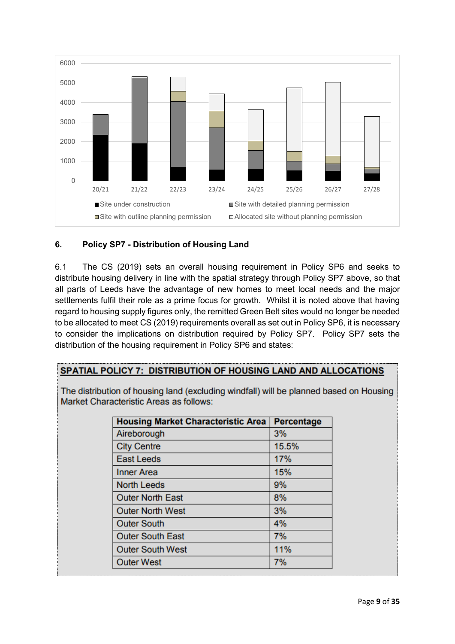

# **6. Policy SP7 - Distribution of Housing Land**

6.1 The CS (2019) sets an overall housing requirement in Policy SP6 and seeks to distribute housing delivery in line with the spatial strategy through Policy SP7 above, so that all parts of Leeds have the advantage of new homes to meet local needs and the major settlements fulfil their role as a prime focus for growth. Whilst it is noted above that having regard to housing supply figures only, the remitted Green Belt sites would no longer be needed to be allocated to meet CS (2019) requirements overall as set out in Policy SP6, it is necessary to consider the implications on distribution required by Policy SP7. Policy SP7 sets the distribution of the housing requirement in Policy SP6 and states:

# SPATIAL POLICY 7: DISTRIBUTION OF HOUSING LAND AND ALLOCATIONS

The distribution of housing land (excluding windfall) will be planned based on Housing Market Characteristic Areas as follows:

| <b>Housing Market Characteristic Area</b> | Percentage |
|-------------------------------------------|------------|
| Aireborough                               | 3%         |
| <b>City Centre</b>                        | 15.5%      |
| <b>East Leeds</b>                         | 17%        |
| <b>Inner Area</b>                         | 15%        |
| <b>North Leeds</b>                        | 9%         |
| <b>Outer North East</b>                   | 8%         |
| <b>Outer North West</b>                   | 3%         |
| <b>Outer South</b>                        | 4%         |
| <b>Outer South East</b>                   | 7%         |
| <b>Outer South West</b>                   | 11%        |
| <b>Outer West</b>                         | 7%         |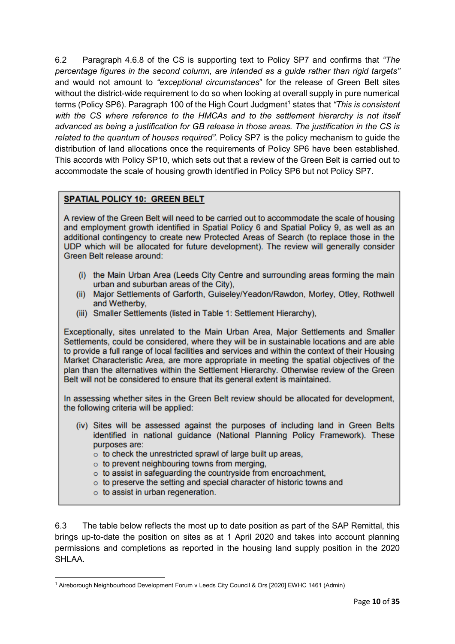6.2 Paragraph 4.6.8 of the CS is supporting text to Policy SP7 and confirms that *"The percentage figures in the second column, are intended as a guide rather than rigid targets"*  and would not amount to *"exceptional circumstances*" for the release of Green Belt sites without the district-wide requirement to do so when looking at overall supply in pure numerical terms (Policy SP6). Paragraph [1](#page-13-0)00 of the High Court Judgment<sup>1</sup> states that *"This is consistent with the CS where reference to the HMCAs and to the settlement hierarchy is not itself advanced as being a justification for GB release in those areas. The justification in the CS is related to the quantum of houses required"*. Policy SP7 is the policy mechanism to guide the distribution of land allocations once the requirements of Policy SP6 have been established. This accords with Policy SP10, which sets out that a review of the Green Belt is carried out to accommodate the scale of housing growth identified in Policy SP6 but not Policy SP7.

### **SPATIAL POLICY 10: GREEN BELT**

A review of the Green Belt will need to be carried out to accommodate the scale of housing and employment growth identified in Spatial Policy 6 and Spatial Policy 9, as well as an additional contingency to create new Protected Areas of Search (to replace those in the UDP which will be allocated for future development). The review will generally consider Green Belt release around:

- (i) the Main Urban Area (Leeds City Centre and surrounding areas forming the main urban and suburban areas of the City),
- (ii) Major Settlements of Garforth, Guiseley/Yeadon/Rawdon, Morley, Otley, Rothwell and Wetherby,
- (iii) Smaller Settlements (listed in Table 1: Settlement Hierarchy),

Exceptionally, sites unrelated to the Main Urban Area, Major Settlements and Smaller Settlements, could be considered, where they will be in sustainable locations and are able to provide a full range of local facilities and services and within the context of their Housing Market Characteristic Area, are more appropriate in meeting the spatial objectives of the plan than the alternatives within the Settlement Hierarchy. Otherwise review of the Green Belt will not be considered to ensure that its general extent is maintained.

In assessing whether sites in the Green Belt review should be allocated for development, the following criteria will be applied:

- (iv) Sites will be assessed against the purposes of including land in Green Belts identified in national guidance (National Planning Policy Framework). These purposes are:
	- $\circ$  to check the unrestricted sprawl of large built up areas,
	- $\circ$  to prevent neighbouring towns from merging.
	- o to assist in safeguarding the countryside from encroachment,
	- $\circ$  to preserve the setting and special character of historic towns and
	- $\circ$  to assist in urban regeneration.

6.3 The table below reflects the most up to date position as part of the SAP Remittal, this brings up-to-date the position on sites as at 1 April 2020 and takes into account planning permissions and completions as reported in the housing land supply position in the 2020 SHI AA

<span id="page-13-0"></span><sup>&</sup>lt;u>.</u> <sup>1</sup> Aireborough Neighbourhood Development Forum v Leeds City Council & Ors [2020] EWHC 1461 (Admin)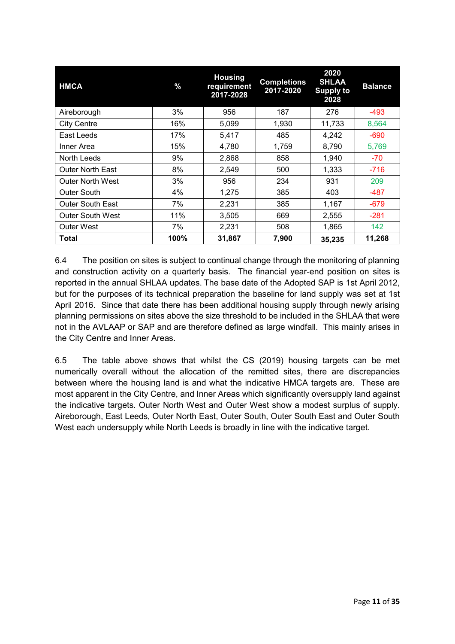| <b>HMCA</b>             | %    | <b>Housing</b><br>requirement<br>2017-2028 | <b>Completions</b><br>2017-2020 | 2020<br><b>SHLAA</b><br><b>Supply to</b><br>2028 | <b>Balance</b> |
|-------------------------|------|--------------------------------------------|---------------------------------|--------------------------------------------------|----------------|
| Aireborough             | 3%   | 956                                        | 187                             | 276                                              | $-493$         |
| <b>City Centre</b>      | 16%  | 5,099                                      | 1.930                           | 11,733                                           | 8,564          |
| East Leeds              | 17%  | 5,417                                      | 485                             | 4,242                                            | $-690$         |
| Inner Area              | 15%  | 4,780                                      | 1,759                           | 8,790                                            | 5,769          |
| North Leeds             | 9%   | 2,868                                      | 858                             | 1,940                                            | $-70$          |
| <b>Outer North East</b> | 8%   | 2,549                                      | 500                             | 1,333                                            | $-716$         |
| <b>Outer North West</b> | 3%   | 956                                        | 234                             | 931                                              | 209            |
| Outer South             | 4%   | 1,275                                      | 385                             | 403                                              | -487           |
| <b>Outer South East</b> | 7%   | 2,231                                      | 385                             | 1,167                                            | $-679$         |
| <b>Outer South West</b> | 11%  | 3,505                                      | 669                             | 2,555                                            | $-281$         |
| Outer West              | 7%   | 2,231                                      | 508                             | 1,865                                            | 142            |
| Total                   | 100% | 31,867                                     | 7,900                           | 35,235                                           | 11,268         |

6.4 The position on sites is subject to continual change through the monitoring of planning and construction activity on a quarterly basis. The financial year-end position on sites is reported in the annual SHLAA updates. The base date of the Adopted SAP is 1st April 2012, but for the purposes of its technical preparation the baseline for land supply was set at 1st April 2016. Since that date there has been additional housing supply through newly arising planning permissions on sites above the size threshold to be included in the SHLAA that were not in the AVLAAP or SAP and are therefore defined as large windfall. This mainly arises in the City Centre and Inner Areas.

6.5 The table above shows that whilst the CS (2019) housing targets can be met numerically overall without the allocation of the remitted sites, there are discrepancies between where the housing land is and what the indicative HMCA targets are. These are most apparent in the City Centre, and Inner Areas which significantly oversupply land against the indicative targets. Outer North West and Outer West show a modest surplus of supply. Aireborough, East Leeds, Outer North East, Outer South, Outer South East and Outer South West each undersupply while North Leeds is broadly in line with the indicative target.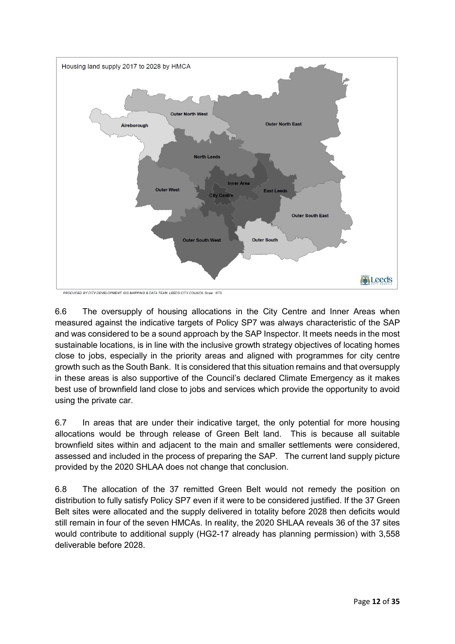

6.6 The oversupply of housing allocations in the City Centre and Inner Areas when measured against the indicative targets of Policy SP7 was always characteristic of the SAP and was considered to be a sound approach by the SAP Inspector. It meets needs in the most sustainable locations, is in line with the inclusive growth strategy objectives of locating homes close to jobs, especially in the priority areas and aligned with programmes for city centre growth such as the South Bank. It is considered that this situation remains and that oversupply in these areas is also supportive of the Council's declared Climate Emergency as it makes best use of brownfield land close to jobs and services which provide the opportunity to avoid using the private car.

6.7 In areas that are under their indicative target, the only potential for more housing allocations would be through release of Green Belt land. This is because all suitable brownfield sites within and adjacent to the main and smaller settlements were considered, assessed and included in the process of preparing the SAP. The current land supply picture provided by the 2020 SHLAA does not change that conclusion.

6.8 The allocation of the 37 remitted Green Belt would not remedy the position on distribution to fully satisfy Policy SP7 even if it were to be considered justified. If the 37 Green Belt sites were allocated and the supply delivered in totality before 2028 then deficits would still remain in four of the seven HMCAs. In reality, the 2020 SHLAA reveals 36 of the 37 sites would contribute to additional supply (HG2-17 already has planning permission) with 3,558 deliverable before 2028.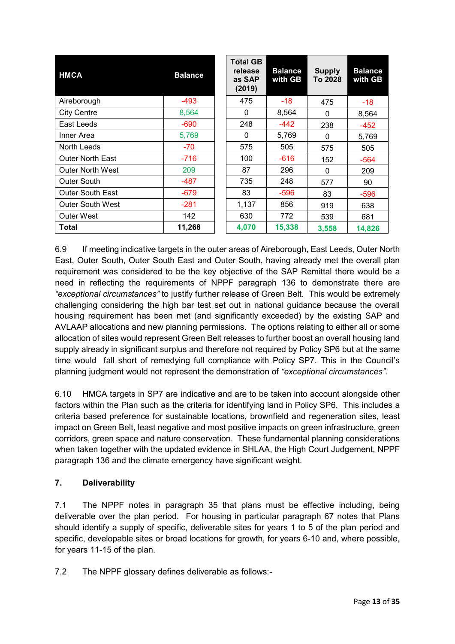| <b>HMCA</b>             | <b>Balance</b> | <b>Total GB</b><br>release<br>as SAP<br>(2019) | <b>Balance</b><br>with GB | <b>Supply</b><br>To 2028 | <b>Balance</b><br>with GB |
|-------------------------|----------------|------------------------------------------------|---------------------------|--------------------------|---------------------------|
| Aireborough             | -493           | 475                                            | $-18$                     | 475                      | $-18$                     |
| <b>City Centre</b>      | 8,564          | 0                                              | 8,564                     | 0                        | 8,564                     |
| East Leeds              | $-690$         | 248                                            | -442                      | 238                      | $-452$                    |
| Inner Area              | 5,769          | $\Omega$                                       | 5,769                     | 0                        | 5,769                     |
| North Leeds             | $-70$          | 575                                            | 505                       | 575                      | 505                       |
| <b>Outer North East</b> | $-716$         | 100                                            | $-616$                    | 152                      | $-564$                    |
| <b>Outer North West</b> | 209            | 87                                             | 296                       | 0                        | 209                       |
| Outer South             | $-487$         | 735                                            | 248                       | 577                      | 90                        |
| <b>Outer South East</b> | $-679$         | 83                                             | $-596$                    | 83                       | $-596$                    |
| <b>Outer South West</b> | $-281$         | 1,137                                          | 856                       | 919                      | 638                       |
| <b>Outer West</b>       | 142            | 630                                            | 772                       | 539                      | 681                       |
| Total                   | 11,268         | 4,070                                          | 15,338                    | 3,558                    | 14,826                    |

6.9 If meeting indicative targets in the outer areas of Aireborough, East Leeds, Outer North East, Outer South, Outer South East and Outer South, having already met the overall plan requirement was considered to be the key objective of the SAP Remittal there would be a need in reflecting the requirements of NPPF paragraph 136 to demonstrate there are *"exceptional circumstances"* to justify further release of Green Belt. This would be extremely challenging considering the high bar test set out in national guidance because the overall housing requirement has been met (and significantly exceeded) by the existing SAP and AVLAAP allocations and new planning permissions. The options relating to either all or some allocation of sites would represent Green Belt releases to further boost an overall housing land supply already in significant surplus and therefore not required by Policy SP6 but at the same time would fall short of remedying full compliance with Policy SP7. This in the Council's planning judgment would not represent the demonstration of *"exceptional circumstances"*.

6.10 HMCA targets in SP7 are indicative and are to be taken into account alongside other factors within the Plan such as the criteria for identifying land in Policy SP6. This includes a criteria based preference for sustainable locations, brownfield and regeneration sites, least impact on Green Belt, least negative and most positive impacts on green infrastructure, green corridors, green space and nature conservation. These fundamental planning considerations when taken together with the updated evidence in SHLAA, the High Court Judgement, NPPF paragraph 136 and the climate emergency have significant weight.

### **7. Deliverability**

7.1 The NPPF notes in paragraph 35 that plans must be effective including, being deliverable over the plan period. For housing in particular paragraph 67 notes that Plans should identify a supply of specific, deliverable sites for years 1 to 5 of the plan period and specific, developable sites or broad locations for growth, for years 6-10 and, where possible, for years 11-15 of the plan.

7.2 The NPPF glossary defines deliverable as follows:-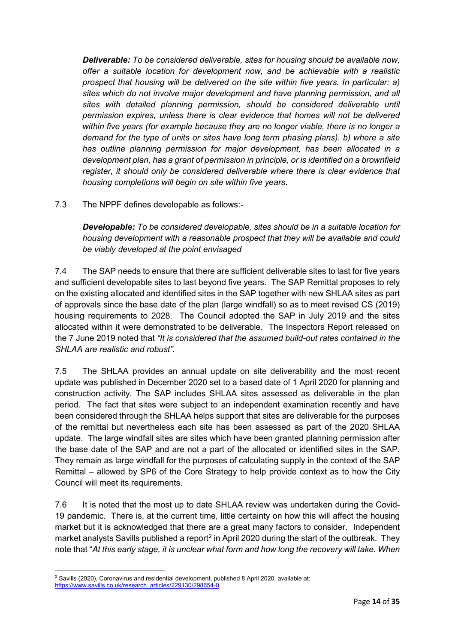*Deliverable: To be considered deliverable, sites for housing should be available now, offer a suitable location for development now, and be achievable with a realistic prospect that housing will be delivered on the site within five years. In particular: a) sites which do not involve major development and have planning permission, and all*  sites with detailed planning permission, should be considered deliverable until *permission expires, unless there is clear evidence that homes will not be delivered within five years (for example because they are no longer viable, there is no longer a demand for the type of units or sites have long term phasing plans). b) where a site has outline planning permission for major development, has been allocated in a development plan, has a grant of permission in principle, or is identified on a brownfield register, it should only be considered deliverable where there is clear evidence that housing completions will begin on site within five years*.

7.3 The NPPF defines developable as follows:-

*Developable: To be considered developable, sites should be in a suitable location for housing development with a reasonable prospect that they will be available and could be viably developed at the point envisaged*

7.4 The SAP needs to ensure that there are sufficient deliverable sites to last for five years and sufficient developable sites to last beyond five years. The SAP Remittal proposes to rely on the existing allocated and identified sites in the SAP together with new SHLAA sites as part of approvals since the base date of the plan (large windfall) so as to meet revised CS (2019) housing requirements to 2028. The Council adopted the SAP in July 2019 and the sites allocated within it were demonstrated to be deliverable. The Inspectors Report released on the 7 June 2019 noted that *"It is considered that the assumed build-out rates contained in the SHLAA are realistic and robust".*

7.5 The SHLAA provides an annual update on site deliverability and the most recent update was published in December 2020 set to a based date of 1 April 2020 for planning and construction activity. The SAP includes SHLAA sites assessed as deliverable in the plan period. The fact that sites were subject to an independent examination recently and have been considered through the SHLAA helps support that sites are deliverable for the purposes of the remittal but nevertheless each site has been assessed as part of the 2020 SHLAA update. The large windfall sites are sites which have been granted planning permission after the base date of the SAP and are not a part of the allocated or identified sites in the SAP. They remain as large windfall for the purposes of calculating supply in the context of the SAP Remittal – allowed by SP6 of the Core Strategy to help provide context as to how the City Council will meet its requirements.

7.6 It is noted that the most up to date SHLAA review was undertaken during the Covid-19 pandemic. There is, at the current time, little certainty on how this will affect the housing market but it is acknowledged that there are a great many factors to consider. Independent market analysts Savills published a report<sup>[2](#page-17-0)</sup> in April 2020 during the start of the outbreak. They note that "*At this early stage, it is unclear what form and how long the recovery will take. When* 

<span id="page-17-0"></span>**<sup>.</sup>**  $^2$  Savills (2020), Coronavirus and residential development, published 8 April 2020, available at: [https://www.savills.co.uk/research\\_articles/229130/298654-0](https://www.savills.co.uk/research_articles/229130/298654-0)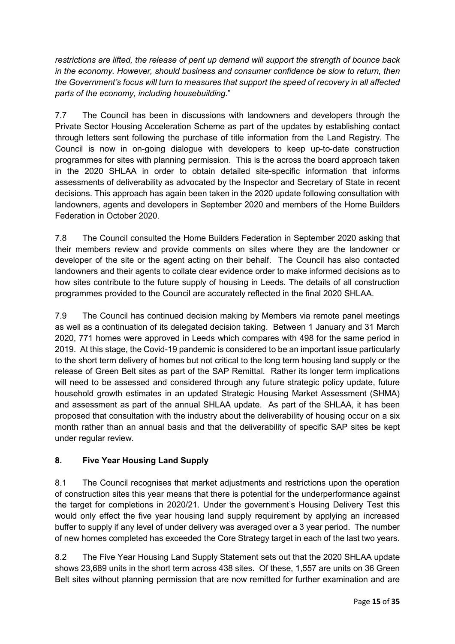*restrictions are lifted, the release of pent up demand will support the strength of bounce back in the economy. However, should business and consumer confidence be slow to return, then the Government's focus will turn to measures that support the speed of recovery in all affected parts of the economy, including housebuilding*."

7.7 The Council has been in discussions with landowners and developers through the Private Sector Housing Acceleration Scheme as part of the updates by establishing contact through letters sent following the purchase of title information from the Land Registry. The Council is now in on-going dialogue with developers to keep up-to-date construction programmes for sites with planning permission. This is the across the board approach taken in the 2020 SHLAA in order to obtain detailed site-specific information that informs assessments of deliverability as advocated by the Inspector and Secretary of State in recent decisions. This approach has again been taken in the 2020 update following consultation with landowners, agents and developers in September 2020 and members of the Home Builders Federation in October 2020.

7.8 The Council consulted the Home Builders Federation in September 2020 asking that their members review and provide comments on sites where they are the landowner or developer of the site or the agent acting on their behalf. The Council has also contacted landowners and their agents to collate clear evidence order to make informed decisions as to how sites contribute to the future supply of housing in Leeds. The details of all construction programmes provided to the Council are accurately reflected in the final 2020 SHLAA.

7.9 The Council has continued decision making by Members via remote panel meetings as well as a continuation of its delegated decision taking. Between 1 January and 31 March 2020, 771 homes were approved in Leeds which compares with 498 for the same period in 2019. At this stage, the Covid-19 pandemic is considered to be an important issue particularly to the short term delivery of homes but not critical to the long term housing land supply or the release of Green Belt sites as part of the SAP Remittal. Rather its longer term implications will need to be assessed and considered through any future strategic policy update, future household growth estimates in an updated Strategic Housing Market Assessment (SHMA) and assessment as part of the annual SHLAA update. As part of the SHLAA, it has been proposed that consultation with the industry about the deliverability of housing occur on a six month rather than an annual basis and that the deliverability of specific SAP sites be kept under regular review.

# **8. Five Year Housing Land Supply**

8.1 The Council recognises that market adjustments and restrictions upon the operation of construction sites this year means that there is potential for the underperformance against the target for completions in 2020/21. Under the government's Housing Delivery Test this would only effect the five year housing land supply requirement by applying an increased buffer to supply if any level of under delivery was averaged over a 3 year period. The number of new homes completed has exceeded the Core Strategy target in each of the last two years.

8.2 The Five Year Housing Land Supply Statement sets out that the 2020 SHLAA update shows 23,689 units in the short term across 438 sites. Of these, 1,557 are units on 36 Green Belt sites without planning permission that are now remitted for further examination and are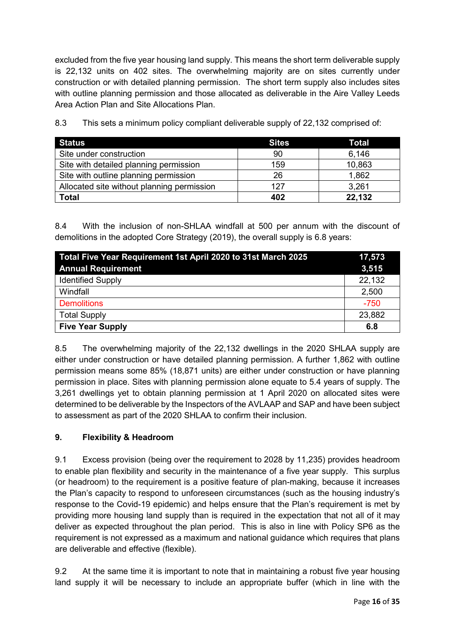excluded from the five year housing land supply. This means the short term deliverable supply is 22,132 units on 402 sites. The overwhelming majority are on sites currently under construction or with detailed planning permission. The short term supply also includes sites with outline planning permission and those allocated as deliverable in the Aire Valley Leeds Area Action Plan and Site Allocations Plan.

| <b>Status</b>                              | <b>Sites</b> | <b>Total</b> |
|--------------------------------------------|--------------|--------------|
| Site under construction                    | 90           | 6,146        |
| Site with detailed planning permission     | 159          | 10,863       |
| Site with outline planning permission      | 26           | 1,862        |
| Allocated site without planning permission | 127          | 3,261        |
| <b>Total</b>                               | 402          | 22,132       |

8.3 This sets a minimum policy compliant deliverable supply of 22,132 comprised of:

8.4 With the inclusion of non-SHLAA windfall at 500 per annum with the discount of demolitions in the adopted Core Strategy (2019), the overall supply is 6.8 years:

| Total Five Year Requirement 1st April 2020 to 31st March 2025<br><b>Annual Requirement</b> | 17,573<br>3,515 |
|--------------------------------------------------------------------------------------------|-----------------|
|                                                                                            |                 |
| <b>Identified Supply</b>                                                                   | 22,132          |
| Windfall                                                                                   | 2,500           |
| <b>Demolitions</b>                                                                         | $-750$          |
| <b>Total Supply</b>                                                                        | 23,882          |
| <b>Five Year Supply</b>                                                                    | 6.8             |

8.5 The overwhelming majority of the 22,132 dwellings in the 2020 SHLAA supply are either under construction or have detailed planning permission. A further 1,862 with outline permission means some 85% (18,871 units) are either under construction or have planning permission in place. Sites with planning permission alone equate to 5.4 years of supply. The 3,261 dwellings yet to obtain planning permission at 1 April 2020 on allocated sites were determined to be deliverable by the Inspectors of the AVLAAP and SAP and have been subject to assessment as part of the 2020 SHLAA to confirm their inclusion.

### **9. Flexibility & Headroom**

9.1 Excess provision (being over the requirement to 2028 by 11,235) provides headroom to enable plan flexibility and security in the maintenance of a five year supply. This surplus (or headroom) to the requirement is a positive feature of plan-making, because it increases the Plan's capacity to respond to unforeseen circumstances (such as the housing industry's response to the Covid-19 epidemic) and helps ensure that the Plan's requirement is met by providing more housing land supply than is required in the expectation that not all of it may deliver as expected throughout the plan period. This is also in line with Policy SP6 as the requirement is not expressed as a maximum and national guidance which requires that plans are deliverable and effective (flexible).

9.2 At the same time it is important to note that in maintaining a robust five year housing land supply it will be necessary to include an appropriate buffer (which in line with the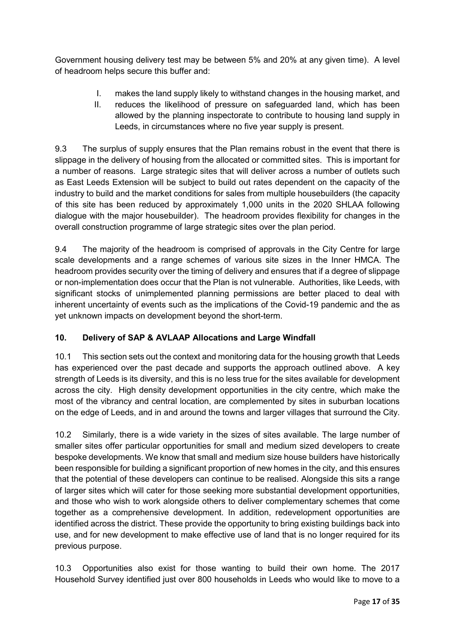Government housing delivery test may be between 5% and 20% at any given time). A level of headroom helps secure this buffer and:

- I. makes the land supply likely to withstand changes in the housing market, and
- II. reduces the likelihood of pressure on safeguarded land, which has been allowed by the planning inspectorate to contribute to housing land supply in Leeds, in circumstances where no five year supply is present.

9.3 The surplus of supply ensures that the Plan remains robust in the event that there is slippage in the delivery of housing from the allocated or committed sites. This is important for a number of reasons. Large strategic sites that will deliver across a number of outlets such as East Leeds Extension will be subject to build out rates dependent on the capacity of the industry to build and the market conditions for sales from multiple housebuilders (the capacity of this site has been reduced by approximately 1,000 units in the 2020 SHLAA following dialogue with the major housebuilder). The headroom provides flexibility for changes in the overall construction programme of large strategic sites over the plan period.

9.4 The majority of the headroom is comprised of approvals in the City Centre for large scale developments and a range schemes of various site sizes in the Inner HMCA. The headroom provides security over the timing of delivery and ensures that if a degree of slippage or non-implementation does occur that the Plan is not vulnerable. Authorities, like Leeds, with significant stocks of unimplemented planning permissions are better placed to deal with inherent uncertainty of events such as the implications of the Covid-19 pandemic and the as yet unknown impacts on development beyond the short-term.

# **10. Delivery of SAP & AVLAAP Allocations and Large Windfall**

10.1 This section sets out the context and monitoring data for the housing growth that Leeds has experienced over the past decade and supports the approach outlined above. A key strength of Leeds is its diversity, and this is no less true for the sites available for development across the city. High density development opportunities in the city centre, which make the most of the vibrancy and central location, are complemented by sites in suburban locations on the edge of Leeds, and in and around the towns and larger villages that surround the City.

10.2 Similarly, there is a wide variety in the sizes of sites available. The large number of smaller sites offer particular opportunities for small and medium sized developers to create bespoke developments. We know that small and medium size house builders have historically been responsible for building a significant proportion of new homes in the city, and this ensures that the potential of these developers can continue to be realised. Alongside this sits a range of larger sites which will cater for those seeking more substantial development opportunities, and those who wish to work alongside others to deliver complementary schemes that come together as a comprehensive development. In addition, redevelopment opportunities are identified across the district. These provide the opportunity to bring existing buildings back into use, and for new development to make effective use of land that is no longer required for its previous purpose.

10.3 Opportunities also exist for those wanting to build their own home. The 2017 Household Survey identified just over 800 households in Leeds who would like to move to a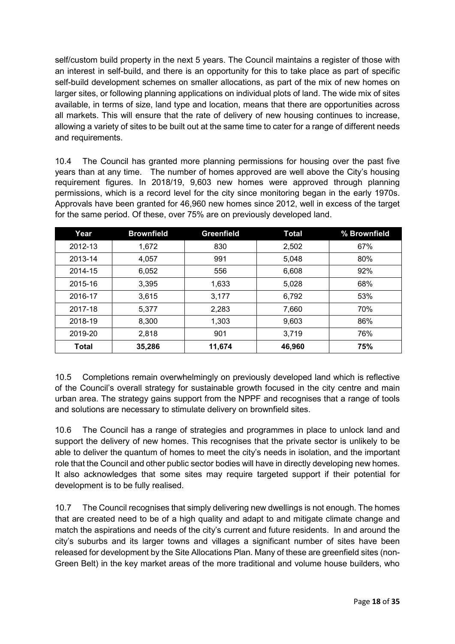self/custom build property in the next 5 years. The Council maintains a register of those with an interest in self-build, and there is an opportunity for this to take place as part of specific self-build development schemes on smaller allocations, as part of the mix of new homes on larger sites, or following planning applications on individual plots of land. The wide mix of sites available, in terms of size, land type and location, means that there are opportunities across all markets. This will ensure that the rate of delivery of new housing continues to increase, allowing a variety of sites to be built out at the same time to cater for a range of different needs and requirements.

10.4 The Council has granted more planning permissions for housing over the past five years than at any time. The number of homes approved are well above the City's housing requirement figures. In 2018/19, 9,603 new homes were approved through planning permissions, which is a record level for the city since monitoring began in the early 1970s. Approvals have been granted for 46,960 new homes since 2012, well in excess of the target for the same period. Of these, over 75% are on previously developed land.

| Year         | <b>Brownfield</b> | <b>Greenfield</b> | <b>Total</b> | % Brownfield |
|--------------|-------------------|-------------------|--------------|--------------|
| 2012-13      | 1,672             | 830               | 2,502        | 67%          |
| 2013-14      | 4,057             | 991               | 5,048        | 80%          |
| 2014-15      | 6,052             | 556               | 6,608        | 92%          |
| 2015-16      | 3,395             | 1,633             | 5,028        | 68%          |
| 2016-17      | 3,615             | 3,177             | 6,792        | 53%          |
| 2017-18      | 5,377             | 2,283             | 7,660        | 70%          |
| 2018-19      | 8,300             | 1,303             | 9,603        | 86%          |
| 2019-20      | 2,818             | 901               | 3,719        | 76%          |
| <b>Total</b> | 35,286            | 11,674            | 46,960       | 75%          |

10.5 Completions remain overwhelmingly on previously developed land which is reflective of the Council's overall strategy for sustainable growth focused in the city centre and main urban area. The strategy gains support from the NPPF and recognises that a range of tools and solutions are necessary to stimulate delivery on brownfield sites.

10.6 The Council has a range of strategies and programmes in place to unlock land and support the delivery of new homes. This recognises that the private sector is unlikely to be able to deliver the quantum of homes to meet the city's needs in isolation, and the important role that the Council and other public sector bodies will have in directly developing new homes. It also acknowledges that some sites may require targeted support if their potential for development is to be fully realised.

10.7 The Council recognises that simply delivering new dwellings is not enough. The homes that are created need to be of a high quality and adapt to and mitigate climate change and match the aspirations and needs of the city's current and future residents. In and around the city's suburbs and its larger towns and villages a significant number of sites have been released for development by the Site Allocations Plan. Many of these are greenfield sites (non-Green Belt) in the key market areas of the more traditional and volume house builders, who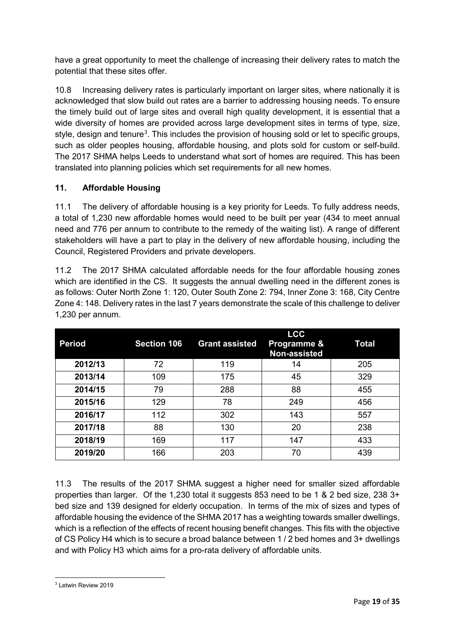have a great opportunity to meet the challenge of increasing their delivery rates to match the potential that these sites offer.

10.8 Increasing delivery rates is particularly important on larger sites, where nationally it is acknowledged that slow build out rates are a barrier to addressing housing needs. To ensure the timely build out of large sites and overall high quality development, it is essential that a wide diversity of homes are provided across large development sites in terms of type, size, style, design and tenure<sup>[3](#page-22-0)</sup>. This includes the provision of housing sold or let to specific groups, such as older peoples housing, affordable housing, and plots sold for custom or self-build. The 2017 SHMA helps Leeds to understand what sort of homes are required. This has been translated into planning policies which set requirements for all new homes.

# **11. Affordable Housing**

11.1 The delivery of affordable housing is a key priority for Leeds. To fully address needs, a total of 1,230 new affordable homes would need to be built per year (434 to meet annual need and 776 per annum to contribute to the remedy of the waiting list). A range of different stakeholders will have a part to play in the delivery of new affordable housing, including the Council, Registered Providers and private developers.

11.2 The 2017 SHMA calculated affordable needs for the four affordable housing zones which are identified in the CS. It suggests the annual dwelling need in the different zones is as follows: Outer North Zone 1: 120, Outer South Zone 2: 794, Inner Zone 3: 168, City Centre Zone 4: 148. Delivery rates in the last 7 years demonstrate the scale of this challenge to deliver 1,230 per annum.

| <b>Period</b> | <b>Section 106</b> | <b>Grant assisted</b> | <b>LCC</b><br>Programme &<br>Non-assisted | <b>Total</b> |
|---------------|--------------------|-----------------------|-------------------------------------------|--------------|
| 2012/13       | 72                 | 119                   | 14                                        | 205          |
| 2013/14       | 109                | 175                   | 45                                        | 329          |
| 2014/15       | 79                 | 288                   | 88                                        | 455          |
| 2015/16       | 129                | 78                    | 249                                       | 456          |
| 2016/17       | 112                | 302                   | 143                                       | 557          |
| 2017/18       | 88                 | 130                   | 20                                        | 238          |
| 2018/19       | 169                | 117                   | 147                                       | 433          |
| 2019/20       | 166                | 203                   | 70                                        | 439          |

11.3 The results of the 2017 SHMA suggest a higher need for smaller sized affordable properties than larger. Of the 1,230 total it suggests 853 need to be 1 & 2 bed size, 238 3+ bed size and 139 designed for elderly occupation. In terms of the mix of sizes and types of affordable housing the evidence of the SHMA 2017 has a weighting towards smaller dwellings, which is a reflection of the effects of recent housing benefit changes. This fits with the objective of CS Policy H4 which is to secure a broad balance between 1 / 2 bed homes and 3+ dwellings and with Policy H3 which aims for a pro-rata delivery of affordable units.

<span id="page-22-0"></span><sup>&</sup>lt;u>.</u> <sup>3</sup> Letwin Review 2019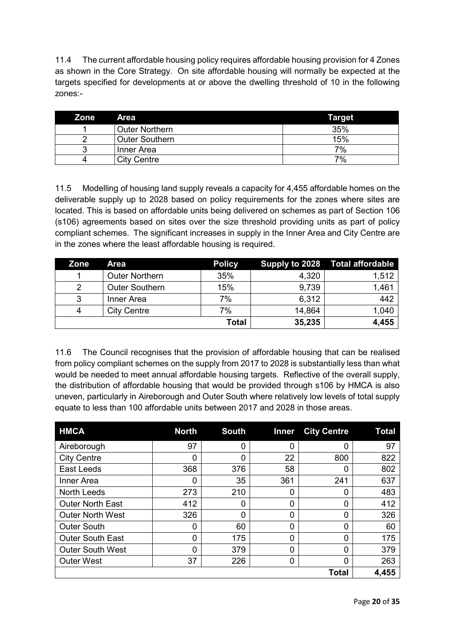11.4 The current affordable housing policy requires affordable housing provision for 4 Zones as shown in the Core Strategy. On site affordable housing will normally be expected at the targets specified for developments at or above the dwelling threshold of 10 in the following zones:-

| <b>Zone</b> | <b>Area</b>           | Target |
|-------------|-----------------------|--------|
|             | <b>Outer Northern</b> | 35%    |
|             | <b>Outer Southern</b> | 15%    |
|             | Inner Area            | 7%     |
| 4           | <b>City Centre</b>    | 7%     |

11.5 Modelling of housing land supply reveals a capacity for 4,455 affordable homes on the deliverable supply up to 2028 based on policy requirements for the zones where sites are located. This is based on affordable units being delivered on schemes as part of Section 106 (s106) agreements based on sites over the size threshold providing units as part of policy compliant schemes. The significant increases in supply in the Inner Area and City Centre are in the zones where the least affordable housing is required.

| Zone | Area                  | <b>Policy</b> |        | Supply to 2028 Total affordable |
|------|-----------------------|---------------|--------|---------------------------------|
|      | <b>Outer Northern</b> | 35%           | 4,320  | 1,512                           |
| 2    | <b>Outer Southern</b> | 15%           | 9,739  | 1,461                           |
| 3    | Inner Area            | 7%            | 6,312  | 442                             |
|      | <b>City Centre</b>    | 7%            | 14,864 | 1,040                           |
|      |                       | Total         | 35,235 | 4,455                           |

11.6 The Council recognises that the provision of affordable housing that can be realised from policy compliant schemes on the supply from 2017 to 2028 is substantially less than what would be needed to meet annual affordable housing targets. Reflective of the overall supply, the distribution of affordable housing that would be provided through s106 by HMCA is also uneven, particularly in Aireborough and Outer South where relatively low levels of total supply equate to less than 100 affordable units between 2017 and 2028 in those areas.

| <b>HMCA</b>             | <b>North</b> | <b>South</b> | <b>Inner</b> | <b>City Centre</b> | Total |
|-------------------------|--------------|--------------|--------------|--------------------|-------|
| Aireborough             | 97           | 0            |              |                    | 97    |
| <b>City Centre</b>      | 0            | $\Omega$     | 22           | 800                | 822   |
| <b>East Leeds</b>       | 368          | 376          | 58           | 0                  | 802   |
| Inner Area              | 0            | 35           | 361          | 241                | 637   |
| <b>North Leeds</b>      | 273          | 210          |              | 0                  | 483   |
| <b>Outer North East</b> | 412          | 0            | O            | 0                  | 412   |
| <b>Outer North West</b> | 326          | 0            | 0            | 0                  | 326   |
| <b>Outer South</b>      | 0            | 60           | 0            | 0                  | 60    |
| <b>Outer South East</b> | 0            | 175          | 0            | 0                  | 175   |
| <b>Outer South West</b> | 0            | 379          | 0            | 0                  | 379   |
| <b>Outer West</b>       | 37           | 226          | 0            | 0                  | 263   |
|                         |              |              |              | <b>Total</b>       | 4,455 |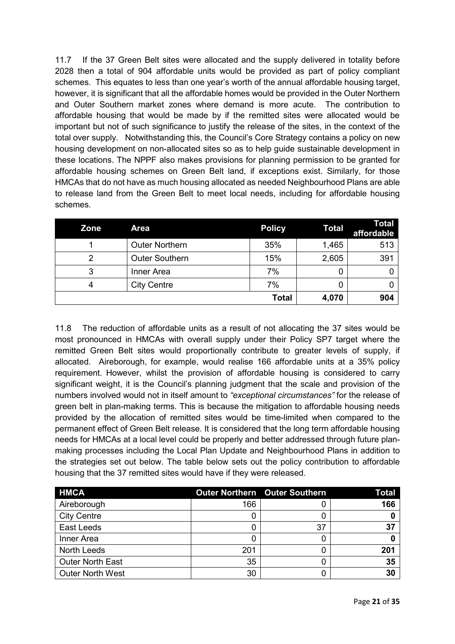11.7 If the 37 Green Belt sites were allocated and the supply delivered in totality before 2028 then a total of 904 affordable units would be provided as part of policy compliant schemes. This equates to less than one year's worth of the annual affordable housing target, however, it is significant that all the affordable homes would be provided in the Outer Northern and Outer Southern market zones where demand is more acute. The contribution to affordable housing that would be made by if the remitted sites were allocated would be important but not of such significance to justify the release of the sites, in the context of the total over supply. Notwithstanding this, the Council's Core Strategy contains a policy on new housing development on non-allocated sites so as to help guide sustainable development in these locations. The NPPF also makes provisions for planning permission to be granted for affordable housing schemes on Green Belt land, if exceptions exist. Similarly, for those HMCAs that do not have as much housing allocated as needed Neighbourhood Plans are able to release land from the Green Belt to meet local needs, including for affordable housing schemes.

| Zone | <b>Area</b>           | <b>Policy</b> | <b>Total</b> | <b>Total</b><br>affordable |
|------|-----------------------|---------------|--------------|----------------------------|
|      | <b>Outer Northern</b> | 35%           | 1,465        | 513                        |
|      | <b>Outer Southern</b> | 15%           | 2,605        | 391                        |
| 3    | Inner Area            | 7%            |              |                            |
|      | <b>City Centre</b>    | 7%            |              |                            |
|      |                       | <b>Total</b>  | 4,070        | 904                        |

11.8 The reduction of affordable units as a result of not allocating the 37 sites would be most pronounced in HMCAs with overall supply under their Policy SP7 target where the remitted Green Belt sites would proportionally contribute to greater levels of supply, if allocated. Aireborough, for example, would realise 166 affordable units at a 35% policy requirement. However, whilst the provision of affordable housing is considered to carry significant weight, it is the Council's planning judgment that the scale and provision of the numbers involved would not in itself amount to *"exceptional circumstances"* for the release of green belt in plan-making terms*.* This is because the mitigation to affordable housing needs provided by the allocation of remitted sites would be time-limited when compared to the permanent effect of Green Belt release. It is considered that the long term affordable housing needs for HMCAs at a local level could be properly and better addressed through future planmaking processes including the Local Plan Update and Neighbourhood Plans in addition to the strategies set out below. The table below sets out the policy contribution to affordable housing that the 37 remitted sites would have if they were released.

| <b>HMCA</b>             |     | <b>Outer Northern Outer Southern</b> | Total |
|-------------------------|-----|--------------------------------------|-------|
| Aireborough             | 166 |                                      | 166   |
| <b>City Centre</b>      |     |                                      |       |
| East Leeds              |     | 37                                   | 37    |
| Inner Area              |     |                                      |       |
| North Leeds             | 201 |                                      | 201   |
| <b>Outer North East</b> | 35  |                                      | 35    |
| <b>Outer North West</b> | 30  |                                      | 30    |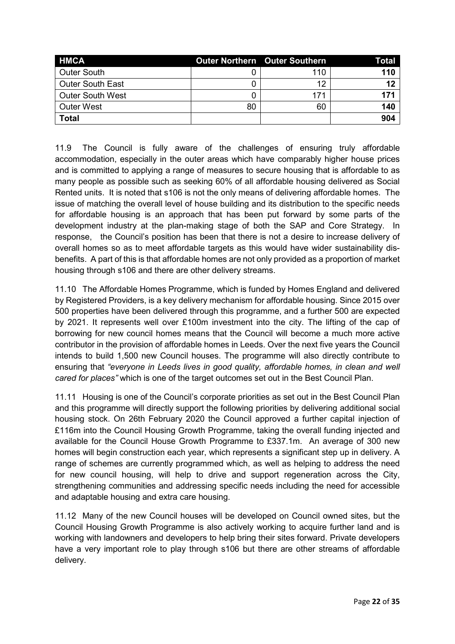| <b>HMCA</b>             |    | Outer Northern Outer Southern | Total |
|-------------------------|----|-------------------------------|-------|
| <b>Outer South</b>      |    | 110                           | 110   |
| <b>Outer South East</b> |    | 12                            | 12    |
| <b>Outer South West</b> |    | 171                           | 171   |
| <b>Outer West</b>       | 80 | 60                            | 140   |
| <b>Total</b>            |    |                               | 904   |

11.9 The Council is fully aware of the challenges of ensuring truly affordable accommodation, especially in the outer areas which have comparably higher house prices and is committed to applying a range of measures to secure housing that is affordable to as many people as possible such as seeking 60% of all affordable housing delivered as Social Rented units. It is noted that s106 is not the only means of delivering affordable homes. The issue of matching the overall level of house building and its distribution to the specific needs for affordable housing is an approach that has been put forward by some parts of the development industry at the plan-making stage of both the SAP and Core Strategy. In response, the Council's position has been that there is not a desire to increase delivery of overall homes so as to meet affordable targets as this would have wider sustainability disbenefits. A part of this is that affordable homes are not only provided as a proportion of market housing through s106 and there are other delivery streams.

11.10 The Affordable Homes Programme, which is funded by Homes England and delivered by Registered Providers, is a key delivery mechanism for affordable housing. Since 2015 over 500 properties have been delivered through this programme, and a further 500 are expected by 2021. It represents well over £100m investment into the city. The lifting of the cap of borrowing for new council homes means that the Council will become a much more active contributor in the provision of affordable homes in Leeds. Over the next five years the Council intends to build 1,500 new Council houses. The programme will also directly contribute to ensuring that *"everyone in Leeds lives in good quality, affordable homes, in clean and well cared for places"* which is one of the target outcomes set out in the Best Council Plan.

11.11 Housing is one of the Council's corporate priorities as set out in the Best Council Plan and this programme will directly support the following priorities by delivering additional social housing stock. On 26th February 2020 the Council approved a further capital injection of £116m into the Council Housing Growth Programme, taking the overall funding injected and available for the Council House Growth Programme to £337.1m. An average of 300 new homes will begin construction each year, which represents a significant step up in delivery. A range of schemes are currently programmed which, as well as helping to address the need for new council housing, will help to drive and support regeneration across the City, strengthening communities and addressing specific needs including the need for accessible and adaptable housing and extra care housing.

11.12 Many of the new Council houses will be developed on Council owned sites, but the Council Housing Growth Programme is also actively working to acquire further land and is working with landowners and developers to help bring their sites forward. Private developers have a very important role to play through s106 but there are other streams of affordable delivery.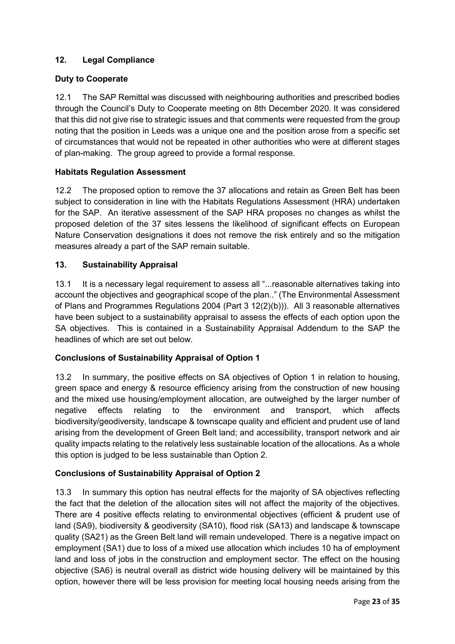# **12. Legal Compliance**

### **Duty to Cooperate**

12.1 The SAP Remittal was discussed with neighbouring authorities and prescribed bodies through the Council's Duty to Cooperate meeting on 8th December 2020. It was considered that this did not give rise to strategic issues and that comments were requested from the group noting that the position in Leeds was a unique one and the position arose from a specific set of circumstances that would not be repeated in other authorities who were at different stages of plan-making. The group agreed to provide a formal response.

#### **Habitats Regulation Assessment**

12.2 The proposed option to remove the 37 allocations and retain as Green Belt has been subject to consideration in line with the Habitats Regulations Assessment (HRA) undertaken for the SAP. An iterative assessment of the SAP HRA proposes no changes as whilst the proposed deletion of the 37 sites lessens the likelihood of significant effects on European Nature Conservation designations it does not remove the risk entirely and so the mitigation measures already a part of the SAP remain suitable.

#### **13. Sustainability Appraisal**

13.1 It is a necessary legal requirement to assess all "...reasonable alternatives taking into account the objectives and geographical scope of the plan.." (The Environmental Assessment of Plans and Programmes Regulations 2004 (Part 3 12(2)(b))). All 3 reasonable alternatives have been subject to a sustainability appraisal to assess the effects of each option upon the SA objectives. This is contained in a Sustainability Appraisal Addendum to the SAP the headlines of which are set out below.

### **Conclusions of Sustainability Appraisal of Option 1**

13.2 In summary, the positive effects on SA objectives of Option 1 in relation to housing, green space and energy & resource efficiency arising from the construction of new housing and the mixed use housing/employment allocation, are outweighed by the larger number of negative effects relating to the environment and transport, which affects biodiversity/geodiversity, landscape & townscape quality and efficient and prudent use of land arising from the development of Green Belt land; and accessibility, transport network and air quality impacts relating to the relatively less sustainable location of the allocations. As a whole this option is judged to be less sustainable than Option 2.

### **Conclusions of Sustainability Appraisal of Option 2**

13.3 In summary this option has neutral effects for the majority of SA objectives reflecting the fact that the deletion of the allocation sites will not affect the majority of the objectives. There are 4 positive effects relating to environmental objectives (efficient & prudent use of land (SA9), biodiversity & geodiversity (SA10), flood risk (SA13) and landscape & townscape quality (SA21) as the Green Belt land will remain undeveloped. There is a negative impact on employment (SA1) due to loss of a mixed use allocation which includes 10 ha of employment land and loss of jobs in the construction and employment sector. The effect on the housing objective (SA6) is neutral overall as district wide housing delivery will be maintained by this option, however there will be less provision for meeting local housing needs arising from the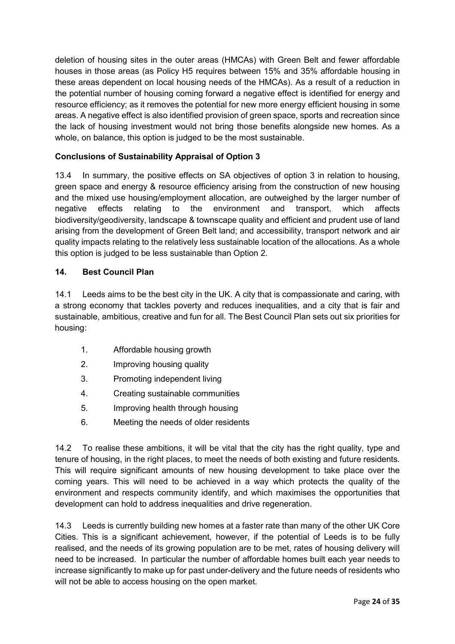deletion of housing sites in the outer areas (HMCAs) with Green Belt and fewer affordable houses in those areas (as Policy H5 requires between 15% and 35% affordable housing in these areas dependent on local housing needs of the HMCAs). As a result of a reduction in the potential number of housing coming forward a negative effect is identified for energy and resource efficiency; as it removes the potential for new more energy efficient housing in some areas. A negative effect is also identified provision of green space, sports and recreation since the lack of housing investment would not bring those benefits alongside new homes. As a whole, on balance, this option is judged to be the most sustainable.

## **Conclusions of Sustainability Appraisal of Option 3**

13.4 In summary, the positive effects on SA objectives of option 3 in relation to housing, green space and energy & resource efficiency arising from the construction of new housing and the mixed use housing/employment allocation, are outweighed by the larger number of negative effects relating to the environment and transport, which affects biodiversity/geodiversity, landscape & townscape quality and efficient and prudent use of land arising from the development of Green Belt land; and accessibility, transport network and air quality impacts relating to the relatively less sustainable location of the allocations. As a whole this option is judged to be less sustainable than Option 2.

#### **14. Best Council Plan**

14.1 Leeds aims to be the best city in the UK. A city that is compassionate and caring, with a strong economy that tackles poverty and reduces inequalities, and a city that is fair and sustainable, ambitious, creative and fun for all. The Best Council Plan sets out six priorities for housing:

- 1. Affordable housing growth
- 2. Improving housing quality
- 3. Promoting independent living
- 4. Creating sustainable communities
- 5. Improving health through housing
- 6. Meeting the needs of older residents

14.2 To realise these ambitions, it will be vital that the city has the right quality, type and tenure of housing, in the right places, to meet the needs of both existing and future residents. This will require significant amounts of new housing development to take place over the coming years. This will need to be achieved in a way which protects the quality of the environment and respects community identify, and which maximises the opportunities that development can hold to address inequalities and drive regeneration.

14.3 Leeds is currently building new homes at a faster rate than many of the other UK Core Cities. This is a significant achievement, however, if the potential of Leeds is to be fully realised, and the needs of its growing population are to be met, rates of housing delivery will need to be increased. In particular the number of affordable homes built each year needs to increase significantly to make up for past under-delivery and the future needs of residents who will not be able to access housing on the open market.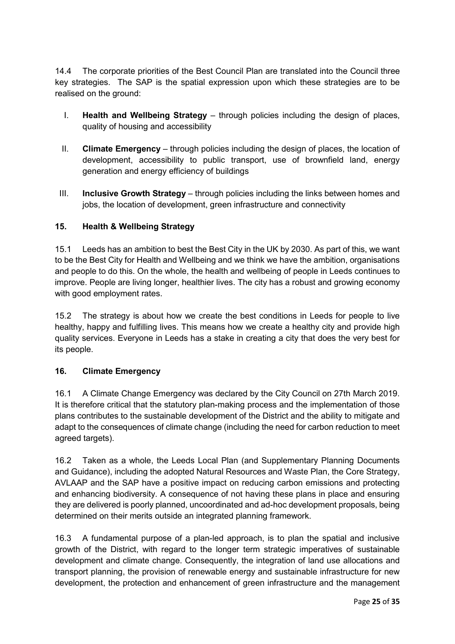14.4 The corporate priorities of the Best Council Plan are translated into the Council three key strategies. The SAP is the spatial expression upon which these strategies are to be realised on the ground:

- I. **Health and Wellbeing Strategy** through policies including the design of places, quality of housing and accessibility
- II. **Climate Emergency** through policies including the design of places, the location of development, accessibility to public transport, use of brownfield land, energy generation and energy efficiency of buildings
- III. **Inclusive Growth Strategy** through policies including the links between homes and jobs, the location of development, green infrastructure and connectivity

## **15. Health & Wellbeing Strategy**

15.1 Leeds has an ambition to best the Best City in the UK by 2030. As part of this, we want to be the Best City for Health and Wellbeing and we think we have the ambition, organisations and people to do this. On the whole, the health and wellbeing of people in Leeds continues to improve. People are living longer, healthier lives. The city has a robust and growing economy with good employment rates.

15.2 The strategy is about how we create the best conditions in Leeds for people to live healthy, happy and fulfilling lives. This means how we create a healthy city and provide high quality services. Everyone in Leeds has a stake in creating a city that does the very best for its people.

### **16. Climate Emergency**

16.1 A Climate Change Emergency was declared by the City Council on 27th March 2019. It is therefore critical that the statutory plan-making process and the implementation of those plans contributes to the sustainable development of the District and the ability to mitigate and adapt to the consequences of climate change (including the need for carbon reduction to meet agreed targets).

16.2 Taken as a whole, the Leeds Local Plan (and Supplementary Planning Documents and Guidance), including the adopted Natural Resources and Waste Plan, the Core Strategy, AVLAAP and the SAP have a positive impact on reducing carbon emissions and protecting and enhancing biodiversity. A consequence of not having these plans in place and ensuring they are delivered is poorly planned, uncoordinated and ad-hoc development proposals, being determined on their merits outside an integrated planning framework.

16.3 A fundamental purpose of a plan-led approach, is to plan the spatial and inclusive growth of the District, with regard to the longer term strategic imperatives of sustainable development and climate change. Consequently, the integration of land use allocations and transport planning, the provision of renewable energy and sustainable infrastructure for new development, the protection and enhancement of green infrastructure and the management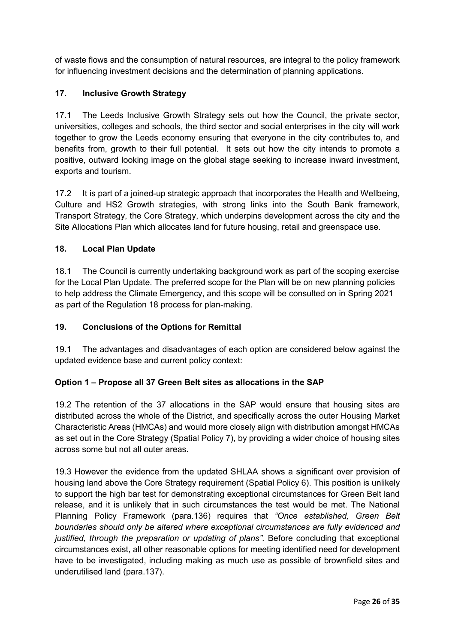of waste flows and the consumption of natural resources, are integral to the policy framework for influencing investment decisions and the determination of planning applications.

# **17. Inclusive Growth Strategy**

17.1 The Leeds Inclusive Growth Strategy sets out how the Council, the private sector, universities, colleges and schools, the third sector and social enterprises in the city will work together to grow the Leeds economy ensuring that everyone in the city contributes to, and benefits from, growth to their full potential. It sets out how the city intends to promote a positive, outward looking image on the global stage seeking to increase inward investment, exports and tourism.

17.2 It is part of a joined-up strategic approach that incorporates the Health and Wellbeing, Culture and HS2 Growth strategies, with strong links into the South Bank framework, Transport Strategy, the Core Strategy, which underpins development across the city and the Site Allocations Plan which allocates land for future housing, retail and greenspace use.

#### **18. Local Plan Update**

18.1 The Council is currently undertaking background work as part of the scoping exercise for the Local Plan Update. The preferred scope for the Plan will be on new planning policies to help address the Climate Emergency, and this scope will be consulted on in Spring 2021 as part of the Regulation 18 process for plan-making.

### **19. Conclusions of the Options for Remittal**

19.1 The advantages and disadvantages of each option are considered below against the updated evidence base and current policy context:

### **Option 1 – Propose all 37 Green Belt sites as allocations in the SAP**

19.2 The retention of the 37 allocations in the SAP would ensure that housing sites are distributed across the whole of the District, and specifically across the outer Housing Market Characteristic Areas (HMCAs) and would more closely align with distribution amongst HMCAs as set out in the Core Strategy (Spatial Policy 7), by providing a wider choice of housing sites across some but not all outer areas.

19.3 However the evidence from the updated SHLAA shows a significant over provision of housing land above the Core Strategy requirement (Spatial Policy 6). This position is unlikely to support the high bar test for demonstrating exceptional circumstances for Green Belt land release, and it is unlikely that in such circumstances the test would be met. The National Planning Policy Framework (para.136) requires that *"Once established, Green Belt boundaries should only be altered where exceptional circumstances are fully evidenced and justified, through the preparation or updating of plans"*. Before concluding that exceptional circumstances exist, all other reasonable options for meeting identified need for development have to be investigated, including making as much use as possible of brownfield sites and underutilised land (para.137).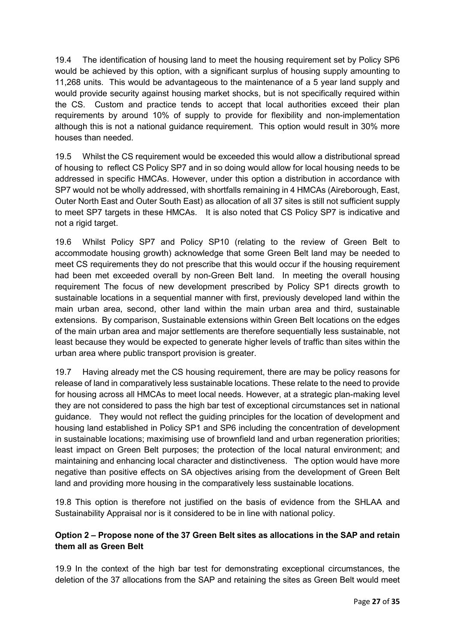19.4 The identification of housing land to meet the housing requirement set by Policy SP6 would be achieved by this option, with a significant surplus of housing supply amounting to 11,268 units. This would be advantageous to the maintenance of a 5 year land supply and would provide security against housing market shocks, but is not specifically required within the CS. Custom and practice tends to accept that local authorities exceed their plan requirements by around 10% of supply to provide for flexibility and non-implementation although this is not a national guidance requirement. This option would result in 30% more houses than needed.

19.5 Whilst the CS requirement would be exceeded this would allow a distributional spread of housing to reflect CS Policy SP7 and in so doing would allow for local housing needs to be addressed in specific HMCAs. However, under this option a distribution in accordance with SP7 would not be wholly addressed, with shortfalls remaining in 4 HMCAs (Aireborough, East, Outer North East and Outer South East) as allocation of all 37 sites is still not sufficient supply to meet SP7 targets in these HMCAs. It is also noted that CS Policy SP7 is indicative and not a rigid target.

19.6 Whilst Policy SP7 and Policy SP10 (relating to the review of Green Belt to accommodate housing growth) acknowledge that some Green Belt land may be needed to meet CS requirements they do not prescribe that this would occur if the housing requirement had been met exceeded overall by non-Green Belt land. In meeting the overall housing requirement The focus of new development prescribed by Policy SP1 directs growth to sustainable locations in a sequential manner with first, previously developed land within the main urban area, second, other land within the main urban area and third, sustainable extensions. By comparison, Sustainable extensions within Green Belt locations on the edges of the main urban area and major settlements are therefore sequentially less sustainable, not least because they would be expected to generate higher levels of traffic than sites within the urban area where public transport provision is greater.

19.7 Having already met the CS housing requirement, there are may be policy reasons for release of land in comparatively less sustainable locations. These relate to the need to provide for housing across all HMCAs to meet local needs. However, at a strategic plan-making level they are not considered to pass the high bar test of exceptional circumstances set in national guidance. They would not reflect the guiding principles for the location of development and housing land established in Policy SP1 and SP6 including the concentration of development in sustainable locations; maximising use of brownfield land and urban regeneration priorities; least impact on Green Belt purposes; the protection of the local natural environment; and maintaining and enhancing local character and distinctiveness. The option would have more negative than positive effects on SA objectives arising from the development of Green Belt land and providing more housing in the comparatively less sustainable locations.

19.8 This option is therefore not justified on the basis of evidence from the SHLAA and Sustainability Appraisal nor is it considered to be in line with national policy.

### **Option 2 – Propose none of the 37 Green Belt sites as allocations in the SAP and retain them all as Green Belt**

19.9 In the context of the high bar test for demonstrating exceptional circumstances, the deletion of the 37 allocations from the SAP and retaining the sites as Green Belt would meet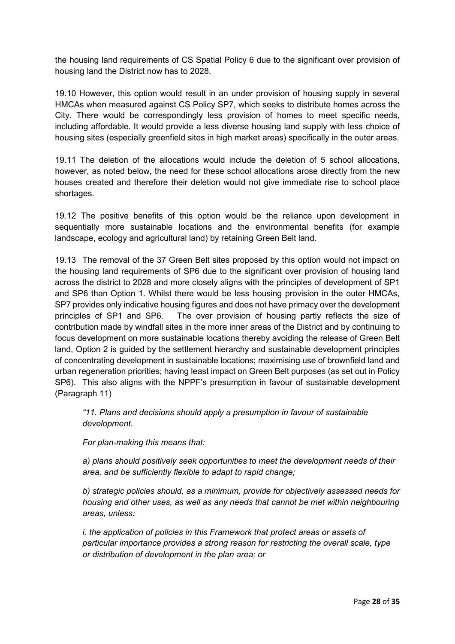the housing land requirements of CS Spatial Policy 6 due to the significant over provision of housing land the District now has to 2028.

19.10 However, this option would result in an under provision of housing supply in several HMCAs when measured against CS Policy SP7, which seeks to distribute homes across the City. There would be correspondingly less provision of homes to meet specific needs, including affordable. It would provide a less diverse housing land supply with less choice of housing sites (especially greenfield sites in high market areas) specifically in the outer areas.

19.11 The deletion of the allocations would include the deletion of 5 school allocations, however, as noted below, the need for these school allocations arose directly from the new houses created and therefore their deletion would not give immediate rise to school place shortages.

19.12 The positive benefits of this option would be the reliance upon development in sequentially more sustainable locations and the environmental benefits (for example landscape, ecology and agricultural land) by retaining Green Belt land.

19.13 The removal of the 37 Green Belt sites proposed by this option would not impact on the housing land requirements of SP6 due to the significant over provision of housing land across the district to 2028 and more closely aligns with the principles of development of SP1 and SP6 than Option 1. Whilst there would be less housing provision in the outer HMCAs, SP7 provides only indicative housing figures and does not have primacy over the development principles of SP1 and SP6. The over provision of housing partly reflects the size of contribution made by windfall sites in the more inner areas of the District and by continuing to focus development on more sustainable locations thereby avoiding the release of Green Belt land, Option 2 is guided by the settlement hierarchy and sustainable development principles of concentrating development in sustainable locations; maximising use of brownfield land and urban regeneration priorities; having least impact on Green Belt purposes (as set out in Policy SP6). This also aligns with the NPPF's presumption in favour of sustainable development (Paragraph 11)

*"11. Plans and decisions should apply a presumption in favour of sustainable development.* 

*For plan-making this means that:* 

*a) plans should positively seek opportunities to meet the development needs of their area, and be sufficiently flexible to adapt to rapid change;* 

*b) strategic policies should, as a minimum, provide for objectively assessed needs for housing and other uses, as well as any needs that cannot be met within neighbouring areas, unless:* 

*i. the application of policies in this Framework that protect areas or assets of particular importance provides a strong reason for restricting the overall scale, type or distribution of development in the plan area; or*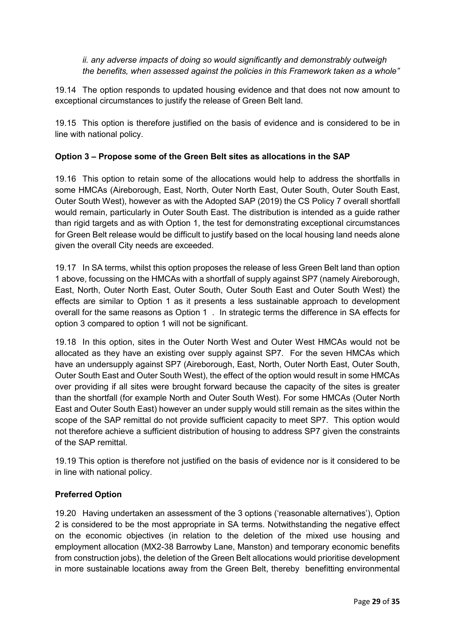#### *ii. any adverse impacts of doing so would significantly and demonstrably outweigh the benefits, when assessed against the policies in this Framework taken as a whole"*

19.14 The option responds to updated housing evidence and that does not now amount to exceptional circumstances to justify the release of Green Belt land.

19.15 This option is therefore justified on the basis of evidence and is considered to be in line with national policy.

### **Option 3 – Propose some of the Green Belt sites as allocations in the SAP**

19.16 This option to retain some of the allocations would help to address the shortfalls in some HMCAs (Aireborough, East, North, Outer North East, Outer South, Outer South East, Outer South West), however as with the Adopted SAP (2019) the CS Policy 7 overall shortfall would remain, particularly in Outer South East. The distribution is intended as a guide rather than rigid targets and as with Option 1, the test for demonstrating exceptional circumstances for Green Belt release would be difficult to justify based on the local housing land needs alone given the overall City needs are exceeded.

19.17 In SA terms, whilst this option proposes the release of less Green Belt land than option 1 above, focussing on the HMCAs with a shortfall of supply against SP7 (namely Aireborough, East, North, Outer North East, Outer South, Outer South East and Outer South West) the effects are similar to Option 1 as it presents a less sustainable approach to development overall for the same reasons as Option 1 . In strategic terms the difference in SA effects for option 3 compared to option 1 will not be significant.

19.18 In this option, sites in the Outer North West and Outer West HMCAs would not be allocated as they have an existing over supply against SP7. For the seven HMCAs which have an undersupply against SP7 (Aireborough, East, North, Outer North East, Outer South, Outer South East and Outer South West), the effect of the option would result in some HMCAs over providing if all sites were brought forward because the capacity of the sites is greater than the shortfall (for example North and Outer South West). For some HMCAs (Outer North East and Outer South East) however an under supply would still remain as the sites within the scope of the SAP remittal do not provide sufficient capacity to meet SP7. This option would not therefore achieve a sufficient distribution of housing to address SP7 given the constraints of the SAP remittal.

19.19 This option is therefore not justified on the basis of evidence nor is it considered to be in line with national policy.

#### **Preferred Option**

19.20 Having undertaken an assessment of the 3 options ('reasonable alternatives'), Option 2 is considered to be the most appropriate in SA terms. Notwithstanding the negative effect on the economic objectives (in relation to the deletion of the mixed use housing and employment allocation (MX2-38 Barrowby Lane, Manston) and temporary economic benefits from construction jobs), the deletion of the Green Belt allocations would prioritise development in more sustainable locations away from the Green Belt, thereby benefitting environmental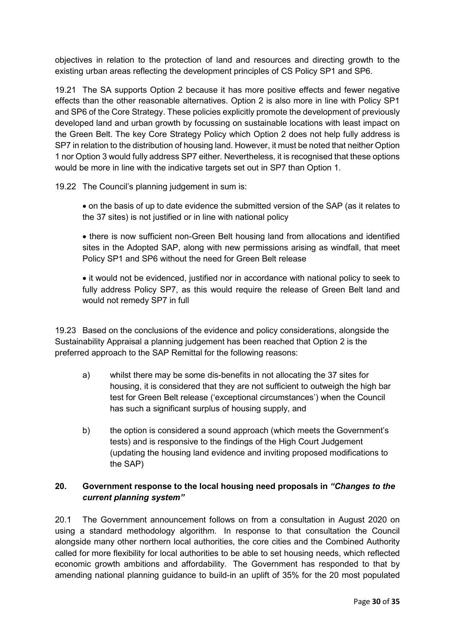objectives in relation to the protection of land and resources and directing growth to the existing urban areas reflecting the development principles of CS Policy SP1 and SP6.

19.21 The SA supports Option 2 because it has more positive effects and fewer negative effects than the other reasonable alternatives. Option 2 is also more in line with Policy SP1 and SP6 of the Core Strategy. These policies explicitly promote the development of previously developed land and urban growth by focussing on sustainable locations with least impact on the Green Belt. The key Core Strategy Policy which Option 2 does not help fully address is SP7 in relation to the distribution of housing land. However, it must be noted that neither Option 1 nor Option 3 would fully address SP7 either. Nevertheless, it is recognised that these options would be more in line with the indicative targets set out in SP7 than Option 1.

19.22 The Council's planning judgement in sum is:

• on the basis of up to date evidence the submitted version of the SAP (as it relates to the 37 sites) is not justified or in line with national policy

• there is now sufficient non-Green Belt housing land from allocations and identified sites in the Adopted SAP, along with new permissions arising as windfall, that meet Policy SP1 and SP6 without the need for Green Belt release

• it would not be evidenced, justified nor in accordance with national policy to seek to fully address Policy SP7, as this would require the release of Green Belt land and would not remedy SP7 in full

19.23 Based on the conclusions of the evidence and policy considerations, alongside the Sustainability Appraisal a planning judgement has been reached that Option 2 is the preferred approach to the SAP Remittal for the following reasons:

- a) whilst there may be some dis-benefits in not allocating the 37 sites for housing, it is considered that they are not sufficient to outweigh the high bar test for Green Belt release ('exceptional circumstances') when the Council has such a significant surplus of housing supply, and
- b) the option is considered a sound approach (which meets the Government's tests) and is responsive to the findings of the High Court Judgement (updating the housing land evidence and inviting proposed modifications to the SAP)

#### **20. Government response to the local housing need proposals in** *"Changes to the current planning system"*

20.1 The Government announcement follows on from a consultation in August 2020 on using a standard methodology algorithm. In response to that consultation the Council alongside many other northern local authorities, the core cities and the Combined Authority called for more flexibility for local authorities to be able to set housing needs, which reflected economic growth ambitions and affordability. The Government has responded to that by amending national planning guidance to build-in an uplift of 35% for the 20 most populated